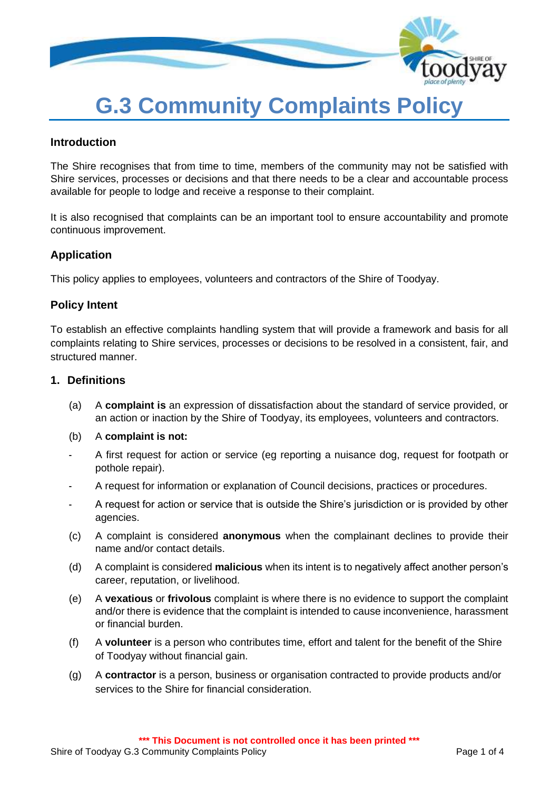

# **G.3 Community Complaints Policy**

#### **Introduction**

The Shire recognises that from time to time, members of the community may not be satisfied with Shire services, processes or decisions and that there needs to be a clear and accountable process available for people to lodge and receive a response to their complaint.

It is also recognised that complaints can be an important tool to ensure accountability and promote continuous improvement.

## **Application**

This policy applies to employees, volunteers and contractors of the Shire of Toodyay.

#### **Policy Intent**

To establish an effective complaints handling system that will provide a framework and basis for all complaints relating to Shire services, processes or decisions to be resolved in a consistent, fair, and structured manner.

#### **1. Definitions**

- (a) A **complaint is** an expression of dissatisfaction about the standard of service provided, or an action or inaction by the Shire of Toodyay, its employees, volunteers and contractors.
- (b) A **complaint is not:**
- A first request for action or service (eg reporting a nuisance dog, request for footpath or pothole repair).
- A request for information or explanation of Council decisions, practices or procedures.
- A request for action or service that is outside the Shire's jurisdiction or is provided by other agencies.
- (c) A complaint is considered **anonymous** when the complainant declines to provide their name and/or contact details.
- (d) A complaint is considered **malicious** when its intent is to negatively affect another person's career, reputation, or livelihood.
- (e) A **vexatious** or **frivolous** complaint is where there is no evidence to support the complaint and/or there is evidence that the complaint is intended to cause inconvenience, harassment or financial burden.
- (f) A **volunteer** is a person who contributes time, effort and talent for the benefit of the Shire of Toodyay without financial gain.
- (g) A **contractor** is a person, business or organisation contracted to provide products and/or services to the Shire for financial consideration.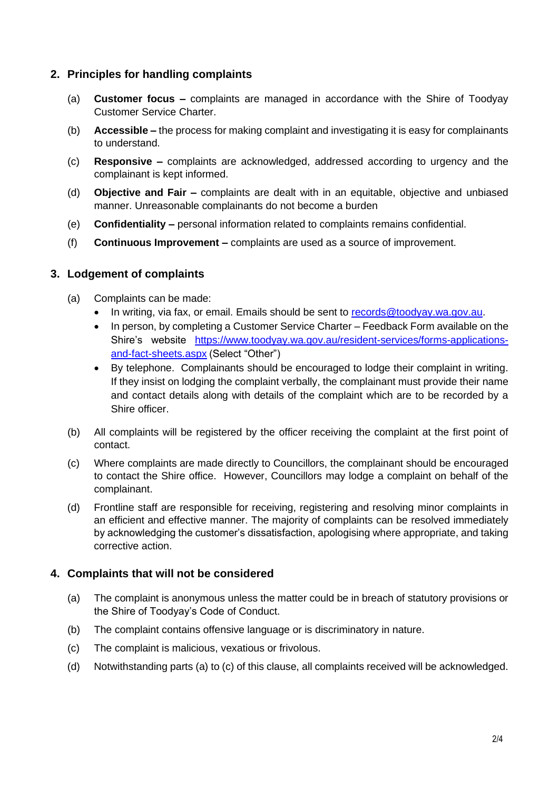# **2. Principles for handling complaints**

- (a) **Customer focus –** complaints are managed in accordance with the Shire of Toodyay Customer Service Charter.
- (b) **Accessible –** the process for making complaint and investigating it is easy for complainants to understand.
- (c) **Responsive –** complaints are acknowledged, addressed according to urgency and the complainant is kept informed.
- (d) **Objective and Fair –** complaints are dealt with in an equitable, objective and unbiased manner. Unreasonable complainants do not become a burden
- (e) **Confidentiality –** personal information related to complaints remains confidential.
- (f) **Continuous Improvement –** complaints are used as a source of improvement.

## **3. Lodgement of complaints**

- (a) Complaints can be made:
	- In writing, via fax, or email. Emails should be sent to [records@toodyay.wa.gov.au.](mailto:records@toodyay.wa.gov.au)
	- In person, by completing a Customer Service Charter Feedback Form available on the Shire's website [https://www.toodyay.wa.gov.au/resident-services/forms-applications](https://www.toodyay.wa.gov.au/resident-services/forms-applications-and-fact-sheets.aspx)[and-fact-sheets.aspx](https://www.toodyay.wa.gov.au/resident-services/forms-applications-and-fact-sheets.aspx) (Select "Other")
	- By telephone. Complainants should be encouraged to lodge their complaint in writing. If they insist on lodging the complaint verbally, the complainant must provide their name and contact details along with details of the complaint which are to be recorded by a Shire officer.
- (b) All complaints will be registered by the officer receiving the complaint at the first point of contact.
- (c) Where complaints are made directly to Councillors, the complainant should be encouraged to contact the Shire office. However, Councillors may lodge a complaint on behalf of the complainant.
- (d) Frontline staff are responsible for receiving, registering and resolving minor complaints in an efficient and effective manner. The majority of complaints can be resolved immediately by acknowledging the customer's dissatisfaction, apologising where appropriate, and taking corrective action.

## **4. Complaints that will not be considered**

- (a) The complaint is anonymous unless the matter could be in breach of statutory provisions or the Shire of Toodyay's Code of Conduct.
- (b) The complaint contains offensive language or is discriminatory in nature.
- (c) The complaint is malicious, vexatious or frivolous.
- (d) Notwithstanding parts (a) to (c) of this clause, all complaints received will be acknowledged.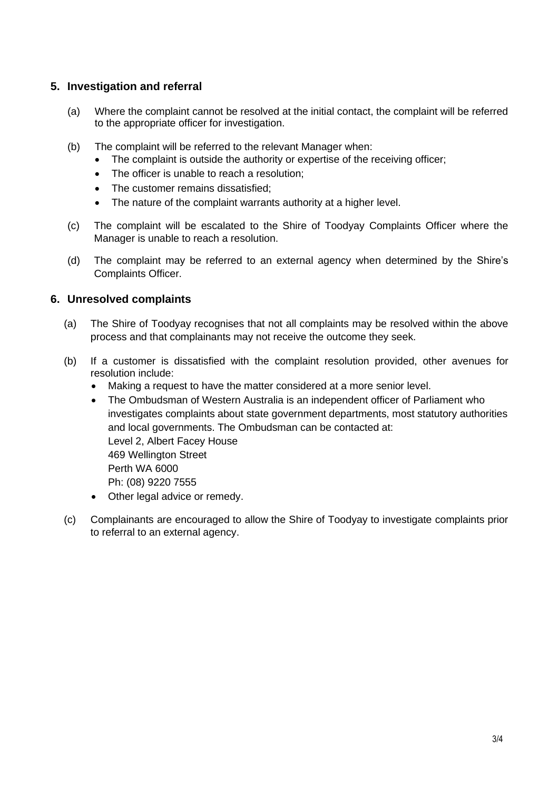## **5. Investigation and referral**

- (a) Where the complaint cannot be resolved at the initial contact, the complaint will be referred to the appropriate officer for investigation.
- (b) The complaint will be referred to the relevant Manager when:
	- The complaint is outside the authority or expertise of the receiving officer;
	- The officer is unable to reach a resolution:
	- The customer remains dissatisfied;
	- The nature of the complaint warrants authority at a higher level.
- (c) The complaint will be escalated to the Shire of Toodyay Complaints Officer where the Manager is unable to reach a resolution.
- (d) The complaint may be referred to an external agency when determined by the Shire's Complaints Officer.

## **6. Unresolved complaints**

- (a) The Shire of Toodyay recognises that not all complaints may be resolved within the above process and that complainants may not receive the outcome they seek.
- (b) If a customer is dissatisfied with the complaint resolution provided, other avenues for resolution include:
	- Making a request to have the matter considered at a more senior level.
	- The Ombudsman of Western Australia is an independent officer of Parliament who investigates complaints about state government departments, most statutory authorities and local governments. The Ombudsman can be contacted at: Level 2, Albert Facey House 469 Wellington Street Perth WA 6000 Ph: (08) 9220 7555
	- Other legal advice or remedy.
- (c) Complainants are encouraged to allow the Shire of Toodyay to investigate complaints prior to referral to an external agency.